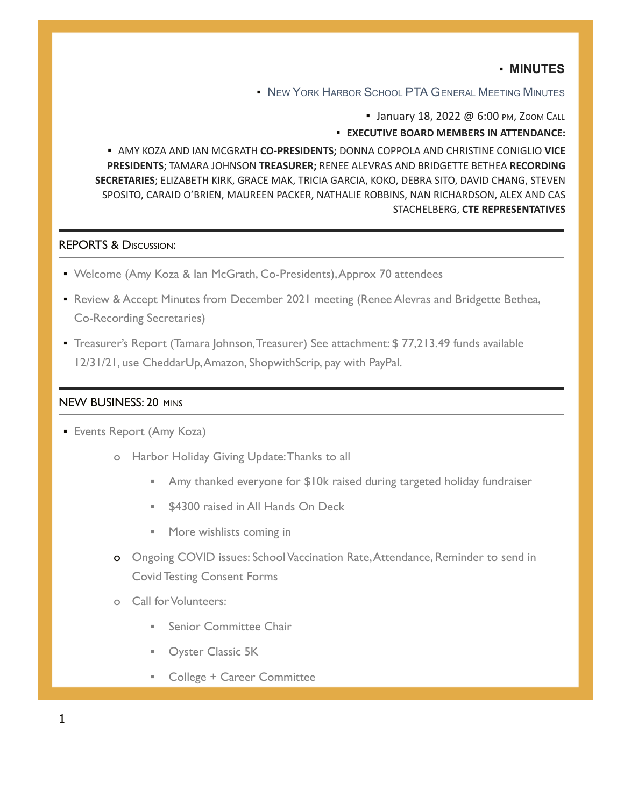# ▪ **MINUTES**

**▪** NEW YORK HARBOR SCHOOL PTA GENERAL MEETING MINUTES

• January 18, 2022 @ 6:00 PM, ZOOM CALL

#### ▪ **EXECUTIVE BOARD MEMBERS IN ATTENDANCE:**

**E AMY KOZA AND IAN MCGRATH CO-PRESIDENTS; DONNA COPPOLA AND CHRISTINE CONIGLIO VICE PRESIDENTS**; TAMARA JOHNSON **TREASURER;** RENEE ALEVRAS AND BRIDGETTE BETHEA **RECORDING SECRETARIES**; ELIZABETH KIRK, GRACE MAK, TRICIA GARCIA, KOKO, DEBRA SITO, DAVID CHANG, STEVEN SPOSITO, CARAID O'BRIEN, MAUREEN PACKER, NATHALIE ROBBINS, NAN RICHARDSON, ALEX AND CAS STACHELBERG, **CTE REPRESENTATIVES**

#### REPORTS & DISCUSSION:

- Welcome (Amy Koza & Ian McGrath, Co-Presidents), Approx 70 attendees
- **Review & Accept Minutes from December 2021 meeting (Renee Alevras and Bridgette Bethea,** Co-Recording Secretaries)
- Treasurer's Report (Tamara Johnson,Treasurer) See attachment: \$ 77,213.49 funds available 12/31/21, use CheddarUp,Amazon, ShopwithScrip, pay with PayPal.

## NEW BUSINESS: 20 MINS

- **Events Report (Amy Koza)** 
	- o Harbor Holiday Giving Update:Thanks to all
		- Amy thanked everyone for \$10k raised during targeted holiday fundraiser
		- \$4300 raised in All Hands On Deck
		- More wishlists coming in
	- o Ongoing COVID issues: School Vaccination Rate,Attendance, Reminder to send in Covid Testing Consent Forms
	- o Call for Volunteers:
		- Senior Committee Chair
		- **Oyster Classic 5K**
		- College + Career Committee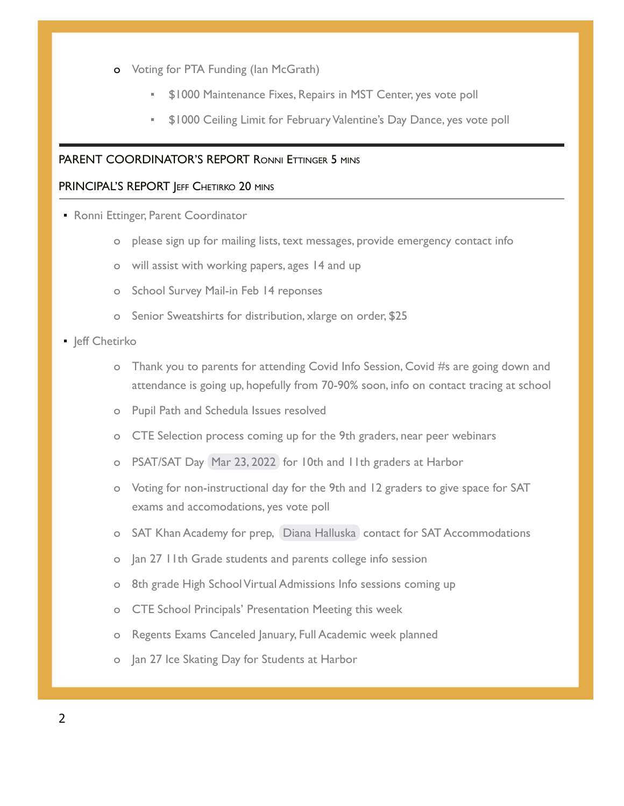- o Voting for PTA Funding (Ian McGrath)
	- **\$1000 Maintenance Fixes, Repairs in MST Center, yes vote poll**
	- \$1000 Ceiling Limit for February Valentine's Day Dance, yes vote poll

### PARENT COORDINATOR'S REPORT RONNI ETTINGER 5 MINS

### PRINCIPAL'S REPORT JEFF CHETIRKO 20 MINS

- **Ronni Ettinger, Parent Coordinator** 
	- o please sign up for mailing lists, text messages, provide emergency contact info
	- o will assist with working papers, ages 14 and up
	- o School Survey Mail-in Feb 14 reponses
	- o Senior Sweatshirts for distribution, xlarge on order, \$25

### **·** Jeff Chetirko

- o Thank you to parents for attending Covid Info Session, Covid #s are going down and attendance is going up, hopefully from 70-90% soon, info on contact tracing at school
- o Pupil Path and Schedula Issues resolved
- o CTE Selection process coming up for the 9th graders, near peer webinars
- o PSAT/SAT Day Mar 23, 2022 for 10th and 11th graders at Harbor
- o Voting for non-instructional day for the 9th and 12 graders to give space for SAT exams and accomodations, yes vote poll
- o SAT Khan Academy for prep, [Diana Halluska](mailto:dhalluska@newyorkharborschool.org) contact for SAT Accommodations
- o Jan 27 11th Grade students and parents college info session
- o 8th grade High School Virtual Admissions Info sessions coming up
- o CTE School Principals' Presentation Meeting this week
- o Regents Exams Canceled January, Full Academic week planned
- o Jan 27 Ice Skating Day for Students at Harbor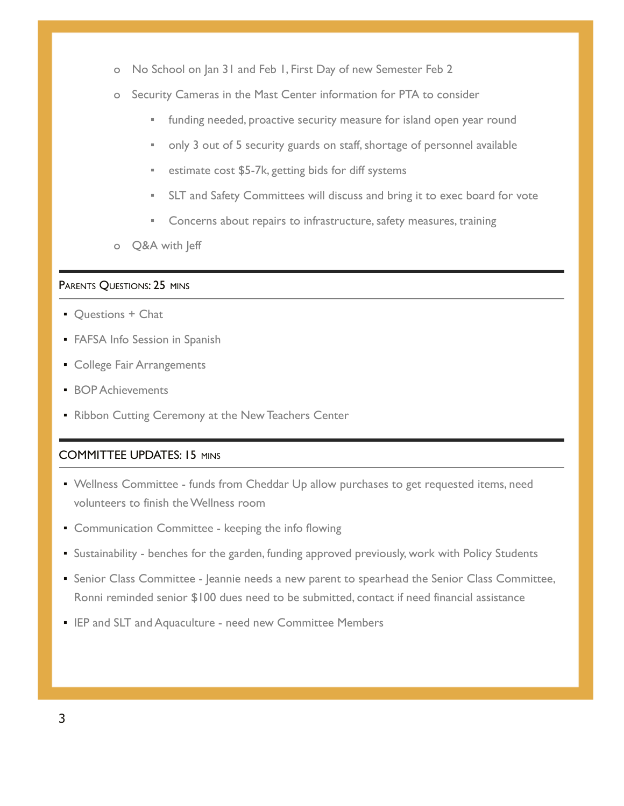- o No School on Jan 31 and Feb 1, First Day of new Semester Feb 2
- o Security Cameras in the Mast Center information for PTA to consider
	- funding needed, proactive security measure for island open year round
	- only 3 out of 5 security guards on staff, shortage of personnel available
	- estimate cost \$5-7k, getting bids for diff systems
	- **EXECT And Safety Committees will discuss and bring it to exec board for vote**
	- Concerns about repairs to infrastructure, safety measures, training
- o Q&A with Jeff

### PARENTS QUESTIONS: 25 MINS

- **Questions + Chat**
- **FAFSA Info Session in Spanish**
- **College Fair Arrangements**
- **BOP Achievements**
- **Ribbon Cutting Ceremony at the New Teachers Center**

## COMMITTEE UPDATES: 15 MINS

- **Wellness Committee funds from Cheddar Up allow purchases to get requested items, need** volunteers to finish the Wellness room
- **Communication Committee keeping the info flowing**
- Sustainability benches for the garden, funding approved previously, work with Policy Students
- **EXECTS 2** Senior Class Committee Jeannie needs a new parent to spearhead the Senior Class Committee, Ronni reminded senior \$100 dues need to be submitted, contact if need financial assistance
- **EP and SLT and Aquaculture need new Committee Members**